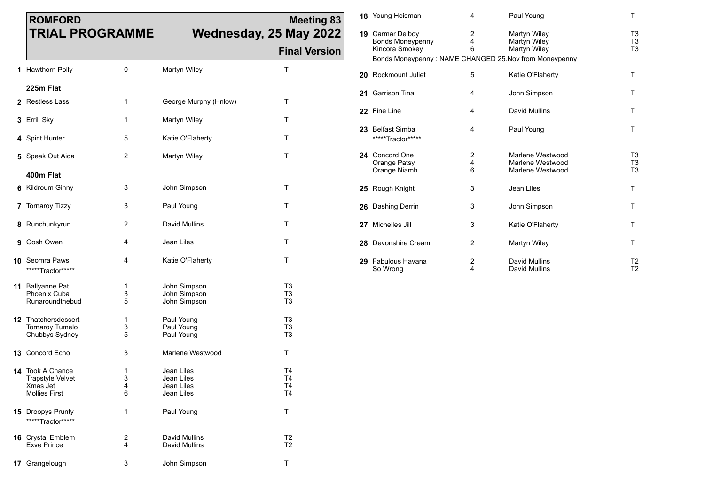|   | <b>ROMFORD</b><br><b>TRIAL PROGRAMME</b>                                               |                  |                                                      | <b>Meeting 83</b><br>Wednesday, 25 May 2022              | 18 Young Heisman<br>19 Carmar Delboy            |
|---|----------------------------------------------------------------------------------------|------------------|------------------------------------------------------|----------------------------------------------------------|-------------------------------------------------|
|   |                                                                                        |                  |                                                      | <b>Final Version</b>                                     | <b>Bonds Moneypenny</b><br>Kincora Smokey       |
|   | 1 Hawthorn Polly                                                                       | 0                | Martyn Wiley                                         | т                                                        | <b>Bonds Moneypenny:</b><br>20 Rockmount Juliet |
|   | 225m Flat                                                                              |                  |                                                      |                                                          |                                                 |
|   | 2 Restless Lass                                                                        | 1                | George Murphy (Hnlow)                                | Т                                                        | 21 Garrison Tina                                |
|   | 3 Errill Sky                                                                           | 1                | Martyn Wiley                                         | т                                                        | 22 Fine Line                                    |
|   | 4 Spirit Hunter                                                                        | 5                | Katie O'Flaherty                                     | Τ                                                        | 23 Belfast Simba<br>******Tractor******         |
|   | 5 Speak Out Aida                                                                       | 2                | Martyn Wiley                                         | Τ                                                        | 24 Concord One<br>Orange Patsy<br>Orange Niamh  |
| 6 | 400m Flat<br>Kildroum Ginny                                                            | 3                | John Simpson                                         | Т                                                        | 25 Rough Knight                                 |
|   | 7 Tornaroy Tizzy                                                                       | 3                | Paul Young                                           | Τ                                                        | 26 Dashing Derrin                               |
| 8 | Runchunkyrun                                                                           | 2                | David Mullins                                        | Τ                                                        | 27 Michelles Jill                               |
| 9 | Gosh Owen                                                                              | 4                | Jean Liles                                           | Τ                                                        | 28 Devonshire Cream                             |
|   | <b>10</b> Seomra Paws<br>*****Tractor*****                                             | 4                | Katie O'Flaherty                                     | Τ                                                        | 29 Fabulous Havana<br>So Wrong                  |
|   | 11 Ballyanne Pat<br><b>Phoenix Cuba</b><br>Runaroundthebud                             | 1<br>3<br>5      | John Simpson<br>John Simpson<br>John Simpson         | T3<br>T <sub>3</sub><br>T <sub>3</sub>                   |                                                 |
|   | <b>12</b> Thatchersdessert<br><b>Tornaroy Tumelo</b><br>Chubbys Sydney                 | 1<br>3<br>5      | Paul Young<br>Paul Young<br>Paul Young               | T3<br>T3<br>T3                                           |                                                 |
|   | 13 Concord Echo                                                                        | 3                | Marlene Westwood                                     | Т                                                        |                                                 |
|   | <b>14</b> Took A Chance<br><b>Trapstyle Velvet</b><br>Xmas Jet<br><b>Mollies First</b> | 1<br>3<br>4<br>6 | Jean Liles<br>Jean Liles<br>Jean Liles<br>Jean Liles | T <sub>4</sub><br>T4<br>T <sub>4</sub><br>T <sub>4</sub> |                                                 |
|   | 15 Droopys Prunty<br>*****Tractor*****                                                 | 1                | Paul Young                                           | T                                                        |                                                 |
|   | 16 Crystal Emblem<br><b>Exve Prince</b>                                                | 2<br>4           | David Mullins<br>David Mullins                       | T <sub>2</sub><br>T <sub>2</sub>                         |                                                 |
|   | 17 Grangelough                                                                         | 3                | John Simpson                                         | Τ                                                        |                                                 |

| <b>18</b> Young Heisman                                                                                                | 4              | Paul Young                                               | T                                      |
|------------------------------------------------------------------------------------------------------------------------|----------------|----------------------------------------------------------|----------------------------------------|
| 19 Carmar Delboy<br><b>Bonds Moneypenny</b><br>Kincora Smokey<br>Bonds Moneypenny: NAME CHANGED 25.Nov from Moneypenny | 2<br>4<br>6    | Martyn Wiley<br>Martyn Wiley<br>Martyn Wiley             | T3<br>T <sub>3</sub><br>T <sub>3</sub> |
| 20 Rockmount Juliet                                                                                                    | 5              | Katie O'Flaherty                                         | т                                      |
| 21 Garrison Tina                                                                                                       | 4              | John Simpson                                             | т                                      |
| 22 Fine Line                                                                                                           | 4              | David Mullins                                            | т                                      |
| 23 Belfast Simba<br>******Tractor*****                                                                                 | 4              | Paul Young                                               | т                                      |
| 24 Concord One<br>Orange Patsy<br>Orange Niamh                                                                         | 2<br>4<br>6    | Marlene Westwood<br>Marlene Westwood<br>Marlene Westwood | T3<br>T3<br>T3                         |
| 25 Rough Knight                                                                                                        | 3              | Jean Liles                                               | т                                      |
| 26 Dashing Derrin                                                                                                      | 3              | John Simpson                                             | т                                      |
| 27 Michelles Jill                                                                                                      | 3              | Katie O'Flaherty                                         | т                                      |
| 28 Devonshire Cream                                                                                                    | $\overline{2}$ | Martyn Wiley                                             | т                                      |
| 29 Fabulous Havana<br>So Wrong                                                                                         | 2<br>4         | David Mullins<br><b>David Mullins</b>                    | T <sub>2</sub><br>T <sub>2</sub>       |